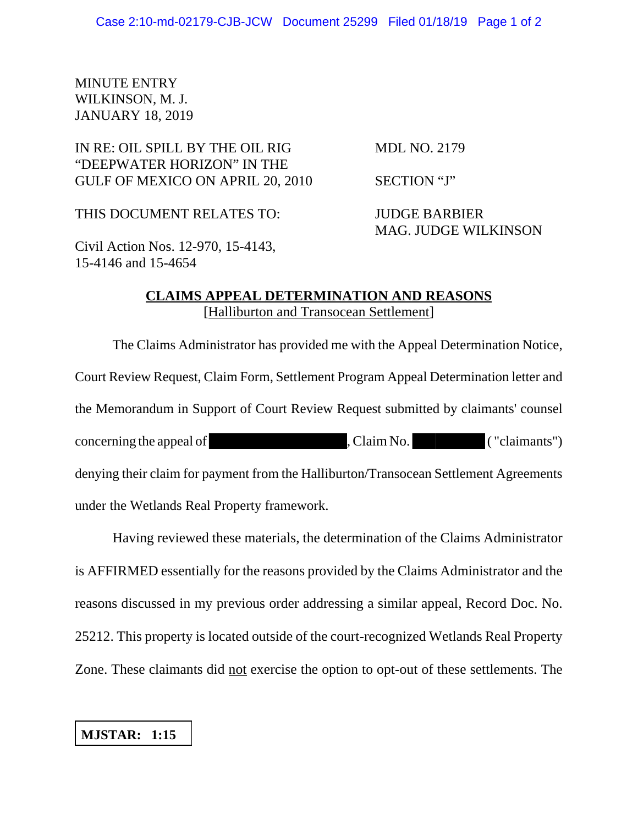## MINUTE ENTRY WILKINSON, M. J. JANUARY 18, 2019

## IN RE: OIL SPILL BY THE OIL RIG MDL NO. 2179 "DEEPWATER HORIZON" IN THE GULF OF MEXICO ON APRIL 20, 2010 SECTION "J"

THIS DOCUMENT RELATES TO: JUDGE BARBIER

MAG. JUDGE WILKINSON

Civil Action Nos. 12-970, 15-4143, 15-4146 and 15-4654

## **CLAIMS APPEAL DETERMINATION AND REASONS** [Halliburton and Transocean Settlement]

The Claims Administrator has provided me with the Appeal Determination Notice, Court Review Request, Claim Form, Settlement Program Appeal Determination letter and the Memorandum in Support of Court Review Request submitted by claimants' counsel concerning the appeal of , Claim No. ("claimants") denying their claim for payment from the Halliburton/Transocean Settlement Agreements under the Wetlands Real Property framework.

Having reviewed these materials, the determination of the Claims Administrator is AFFIRMED essentially for the reasons provided by the Claims Administrator and the reasons discussed in my previous order addressing a similar appeal, Record Doc. No. 25212. This property is located outside of the court-recognized Wetlands Real Property Zone. These claimants did not exercise the option to opt-out of these settlements. The

## **MJSTAR: 1:15**